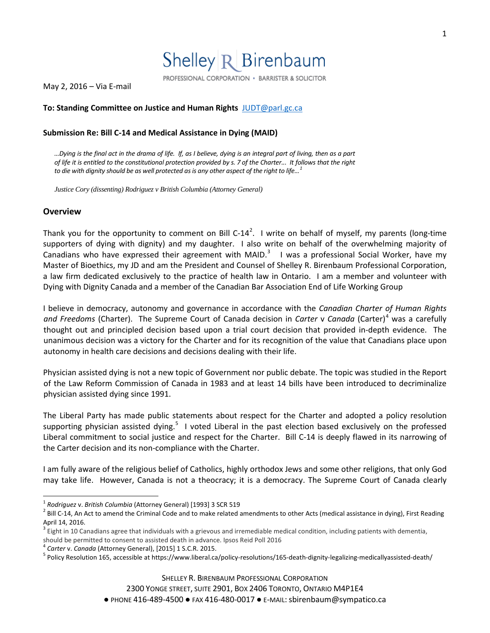

May 2, 2016 – Via E-mail

### **To: Standing Committee on Justice and Human Rights** [JUDT@parl.gc.ca](mailto:JUDT@parl.gc.ca)

#### **Submission Re: Bill C-14 and Medical Assistance in Dying (MAID)**

*…Dying is the final act in the drama of life. If, as I believe, dying is an integral part of living, then as a part of life it is entitled to the constitutional protection provided by [s.](https://zoupio.lexum.com/calegis/schedule-b-to-the-canada-act-1982-uk-1982-c-11-en#!fragment/sec7) 7 of the Charter... It follows that the right to die with dignity should be as well protected as is any other aspect of the right to life…[1](#page-0-0)*

*Justice Cory (dissenting) Rodriguez v British Columbia (Attorney General)*

#### **Overview**

Thank you for the opportunity to comment on Bill C-14<sup>[2](#page-0-1)</sup>. I write on behalf of myself, my parents (long-time supporters of dying with dignity) and my daughter. I also write on behalf of the overwhelming majority of Canadians who have expressed their agreement with MAID.<sup>[3](#page-0-2)</sup> I was a professional Social Worker, have my Master of Bioethics, my JD and am the President and Counsel of Shelley R. Birenbaum Professional Corporation, a law firm dedicated exclusively to the practice of health law in Ontario. I am a member and volunteer with Dying with Dignity Canada and a member of the Canadian Bar Association End of Life Working Group

I believe in democracy, autonomy and governance in accordance with the *Canadian Charter of Human Rights and Freedoms* (Charter). The Supreme Court of Canada decision in *Carter* v *Canada* (Carter)<sup>[4](#page-0-3)</sup> was a carefully thought out and principled decision based upon a trial court decision that provided in-depth evidence. The unanimous decision was a victory for the Charter and for its recognition of the value that Canadians place upon autonomy in health care decisions and decisions dealing with their life.

Physician assisted dying is not a new topic of Government nor public debate. The topic was studied in the Report of the Law Reform Commission of Canada in 1983 and at least 14 bills have been introduced to decriminalize physician assisted dying since 1991.

The Liberal Party has made public statements about respect for the Charter and adopted a policy resolution supporting physician assisted dying.<sup>[5](#page-0-4)</sup> I voted Liberal in the past election based exclusively on the professed Liberal commitment to social justice and respect for the Charter. Bill C-14 is deeply flawed in its narrowing of the Carter decision and its non-compliance with the Charter.

I am fully aware of the religious belief of Catholics, highly orthodox Jews and some other religions, that only God may take life. However, Canada is not a theocracy; it is a democracy. The Supreme Court of Canada clearly

<span id="page-0-1"></span><span id="page-0-0"></span><sup>&</sup>lt;sup>1</sup> *Rodriguez* v. *British Columbia* (Attorney General) [1993] 3 SCR 519<br><sup>2</sup> Bill C-14, An Act to amend the Criminal Code and to make related amendments to other Acts (medical assistance in dying), First Reading April 14, 2016.

<span id="page-0-2"></span><sup>&</sup>lt;sup>3</sup> Eight in 10 Canadians agree that individuals with a grievous and irremediable medical condition, including patients with dementia,

<span id="page-0-4"></span><span id="page-0-3"></span>

should be permitted to consent to assisted death in advance. Ipsos Reid Poll 2016<br><sup>4</sup> Carter v. Canada (Attorney General), [2015] 1 S.C.R. 2015.<br><sup>5</sup> Policy Resolution 165, accessible at https://www.liberal.ca/policy-resolu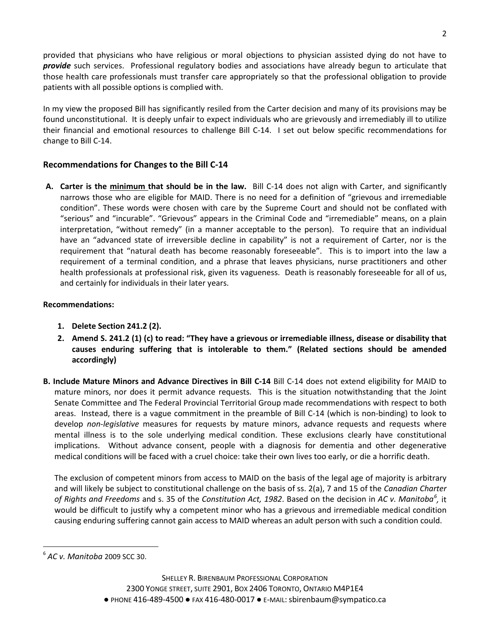provided that physicians who have religious or moral objections to physician assisted dying do not have to *provide* such services. Professional regulatory bodies and associations have already begun to articulate that those health care professionals must transfer care appropriately so that the professional obligation to provide patients with all possible options is complied with.

In my view the proposed Bill has significantly resiled from the Carter decision and many of its provisions may be found unconstitutional. It is deeply unfair to expect individuals who are grievously and irremediably ill to utilize their financial and emotional resources to challenge Bill C-14. I set out below specific recommendations for change to Bill C-14.

# **Recommendations for Changes to the Bill C-14**

**A. Carter is the minimum that should be in the law.** Bill C-14 does not align with Carter, and significantly narrows those who are eligible for MAID. There is no need for a definition of "grievous and irremediable condition". These words were chosen with care by the Supreme Court and should not be conflated with "serious" and "incurable". "Grievous" appears in the Criminal Code and "irremediable" means, on a plain interpretation, "without remedy" (in a manner acceptable to the person). To require that an individual have an "advanced state of irreversible decline in capability" is not a requirement of Carter, nor is the requirement that "natural death has become reasonably foreseeable". This is to import into the law a requirement of a terminal condition, and a phrase that leaves physicians, nurse practitioners and other health professionals at professional risk, given its vagueness. Death is reasonably foreseeable for all of us, and certainly for individuals in their later years.

## **Recommendations:**

- **1. Delete Section 241.2 (2).**
- **2. Amend S. 241.2 (1) (c) to read: "They have a grievous or irremediable illness, disease or disability that causes enduring suffering that is intolerable to them." (Related sections should be amended accordingly)**
- **B. Include Mature Minors and Advance Directives in Bill C-14** Bill C-14 does not extend eligibility for MAID to mature minors, nor does it permit advance requests. This is the situation notwithstanding that the Joint Senate Committee and The Federal Provincial Territorial Group made recommendations with respect to both areas. Instead, there is a vague commitment in the preamble of Bill C-14 (which is non-binding) to look to develop *non-legislative* measures for requests by mature minors, advance requests and requests where mental illness is to the sole underlying medical condition. These exclusions clearly have constitutional implications. Without advance consent, people with a diagnosis for dementia and other degenerative medical conditions will be faced with a cruel choice: take their own lives too early, or die a horrific death.

The exclusion of competent minors from access to MAID on the basis of the legal age of majority is arbitrary and will likely be subject to constitutional challenge on the basis of ss. 2(a), 7 and 15 of the *Canadian Charter*  of Rights and Freedoms and s. 35 of the *Constitution Act, 1982*. Based on the decision in AC v. Manitoba<sup>[6](#page-1-0)</sup>, it would be difficult to justify why a competent minor who has a grievous and irremediable medical condition causing enduring suffering cannot gain access to MAID whereas an adult person with such a condition could.

<span id="page-1-0"></span> <sup>6</sup> *AC v. Manitoba* <sup>2009</sup> SCC 30.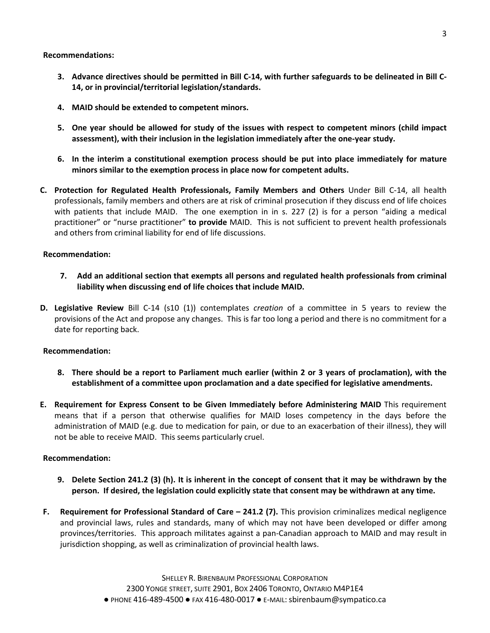**Recommendations:**

- **3. Advance directives should be permitted in Bill C-14, with further safeguards to be delineated in Bill C-14, or in provincial/territorial legislation/standards.**
- **4. MAID should be extended to competent minors.**
- **5. One year should be allowed for study of the issues with respect to competent minors (child impact assessment), with their inclusion in the legislation immediately after the one-year study.**
- **6. In the interim a constitutional exemption process should be put into place immediately for mature minors similar to the exemption process in place now for competent adults.**
- **C. Protection for Regulated Health Professionals, Family Members and Others** Under Bill C-14, all health professionals, family members and others are at risk of criminal prosecution if they discuss end of life choices with patients that include MAID. The one exemption in in s. 227 (2) is for a person "aiding a medical practitioner" or "nurse practitioner" **to provide** MAID. This is not sufficient to prevent health professionals and others from criminal liability for end of life discussions.

### **Recommendation:**

- **7. Add an additional section that exempts all persons and regulated health professionals from criminal liability when discussing end of life choices that include MAID.**
- **D. Legislative Review** Bill C-14 (s10 (1)) contemplates *creation* of a committee in 5 years to review the provisions of the Act and propose any changes. This is far too long a period and there is no commitment for a date for reporting back.

### **Recommendation:**

- **8. There should be a report to Parliament much earlier (within 2 or 3 years of proclamation), with the establishment of a committee upon proclamation and a date specified for legislative amendments.**
- **E. Requirement for Express Consent to be Given Immediately before Administering MAID** This requirement means that if a person that otherwise qualifies for MAID loses competency in the days before the administration of MAID (e.g. due to medication for pain, or due to an exacerbation of their illness), they will not be able to receive MAID. This seems particularly cruel.

### **Recommendation:**

- **9. Delete Section 241.2 (3) (h). It is inherent in the concept of consent that it may be withdrawn by the person. If desired, the legislation could explicitly state that consent may be withdrawn at any time.**
- **F. Requirement for Professional Standard of Care – 241.2 (7).** This provision criminalizes medical negligence and provincial laws, rules and standards, many of which may not have been developed or differ among provinces/territories. This approach militates against a pan-Canadian approach to MAID and may result in jurisdiction shopping, as well as criminalization of provincial health laws.